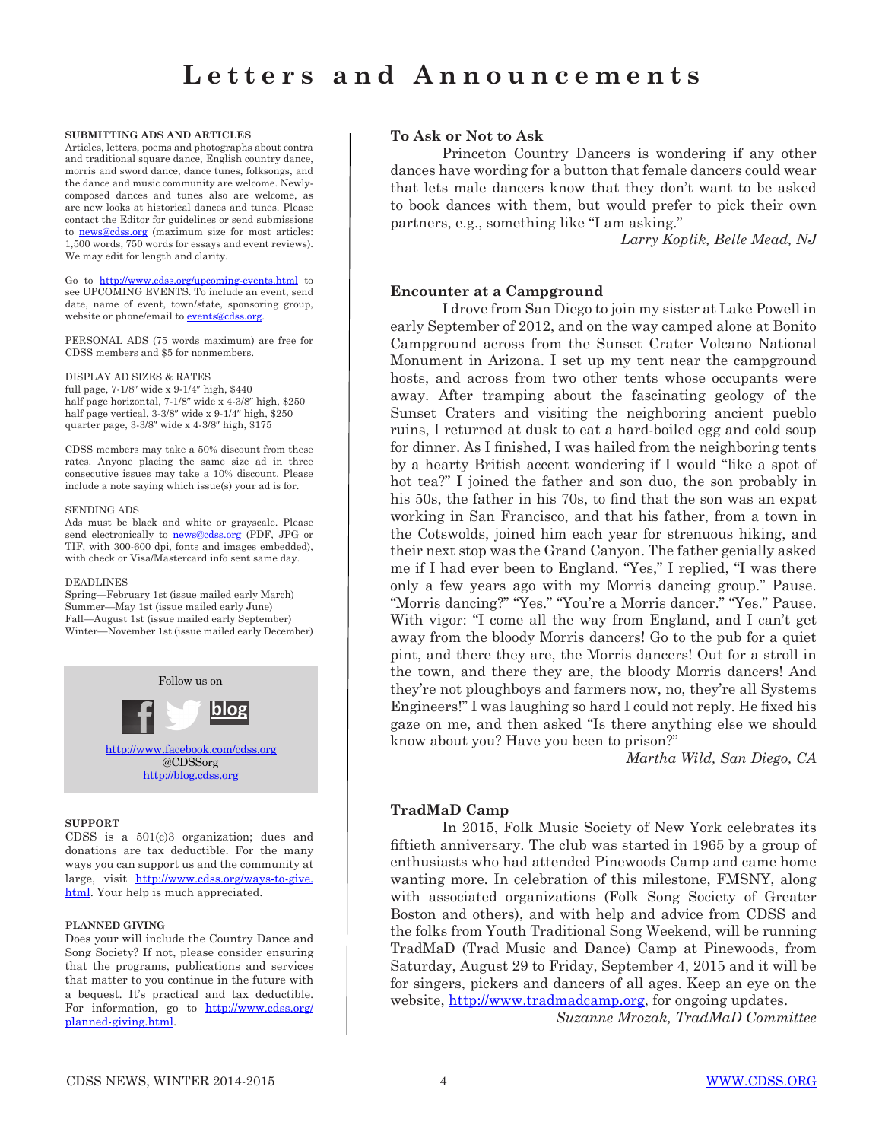#### **SUBMITTING ADS AND ARTICLES**

Articles, letters, poems and photographs about contra and traditional square dance, English country dance, morris and sword dance, dance tunes, folksongs, and the dance and music community are welcome. Newlycomposed dances and tunes also are welcome, as are new looks at historical dances and tunes. Please contact the Editor for guidelines or send submissions to news@cdss.org (maximum size for most articles: 1,500 words, 750 words for essays and event reviews). We may edit for length and clarity.

Go to http://www.cdss.org/upcoming-events.html to see UPCOMING EVENTS. To include an event, send date, name of event, town/state, sponsoring group, website or phone/email to events@cdss.org.

PERSONAL ADS (75 words maximum) are free for CDSS members and \$5 for nonmembers.

#### DISPLAY AD SIZES & RATES

full page, 7-1/8″ wide x 9-1/4″ high, \$440 half page horizontal, 7-1/8″ wide x 4-3/8″ high, \$250 half page vertical, 3-3/8″ wide x 9-1/4″ high, \$250 quarter page, 3-3/8″ wide x 4-3/8″ high, \$175

CDSS members may take a 50% discount from these rates. Anyone placing the same size ad in three consecutive issues may take a 10% discount. Please include a note saying which issue(s) your ad is for.

#### SENDING ADS

Ads must be black and white or grayscale. Please send electronically to **news@cdss.org** (PDF, JPG or TIF, with 300-600 dpi, fonts and images embedded), with check or Visa/Mastercard info sent same day.

#### DEADLINES

Spring—February 1st (issue mailed early March) Summer—May 1st (issue mailed early June) Fall—August 1st (issue mailed early September) Winter—November 1st (issue mailed early December)



#### **SUPPORT**

CDSS is a 501(c)3 organization; dues and donations are tax deductible. For the many ways you can support us and the community at large, visit http://www.cdss.org/ways-to-give. html. Your help is much appreciated.

### **PLANNED GIVING**

Does your will include the Country Dance and Song Society? If not, please consider ensuring that the programs, publications and services that matter to you continue in the future with a bequest. It's practical and tax deductible. For information, go to http://www.cdss.org/ planned-giving.html.

## **To Ask or Not to Ask**

Princeton Country Dancers is wondering if any other dances have wording for a button that female dancers could wear that lets male dancers know that they don't want to be asked to book dances with them, but would prefer to pick their own partners, e.g., something like "I am asking."

*Larry Koplik, Belle Mead, NJ*

## **Encounter at a Campground**

I drove from San Diego to join my sister at Lake Powell in early September of 2012, and on the way camped alone at Bonito Campground across from the Sunset Crater Volcano National Monument in Arizona. I set up my tent near the campground hosts, and across from two other tents whose occupants were away. After tramping about the fascinating geology of the Sunset Craters and visiting the neighboring ancient pueblo ruins, I returned at dusk to eat a hard-boiled egg and cold soup for dinner. As I finished, I was hailed from the neighboring tents by a hearty British accent wondering if I would "like a spot of hot tea?" I joined the father and son duo, the son probably in his 50s, the father in his 70s, to find that the son was an expat working in San Francisco, and that his father, from a town in the Cotswolds, joined him each year for strenuous hiking, and their next stop was the Grand Canyon. The father genially asked me if I had ever been to England. "Yes," I replied, "I was there only a few years ago with my Morris dancing group." Pause. "Morris dancing?" "Yes." "You're a Morris dancer." "Yes." Pause. With vigor: "I come all the way from England, and I can't get away from the bloody Morris dancers! Go to the pub for a quiet pint, and there they are, the Morris dancers! Out for a stroll in the town, and there they are, the bloody Morris dancers! And they're not ploughboys and farmers now, no, they're all Systems Engineers!" I was laughing so hard I could not reply. He fixed his gaze on me, and then asked "Is there anything else we should know about you? Have you been to prison?"

*Martha Wild, San Diego, CA*

# **TradMaD Camp**

In 2015, Folk Music Society of New York celebrates its fiftieth anniversary. The club was started in 1965 by a group of enthusiasts who had attended Pinewoods Camp and came home wanting more. In celebration of this milestone, FMSNY, along with associated organizations (Folk Song Society of Greater Boston and others), and with help and advice from CDSS and the folks from Youth Traditional Song Weekend, will be running TradMaD (Trad Music and Dance) Camp at Pinewoods, from Saturday, August 29 to Friday, September 4, 2015 and it will be for singers, pickers and dancers of all ages. Keep an eye on the website, http://www.tradmadcamp.org, for ongoing updates.

*Suzanne Mrozak, TradMaD Committee*